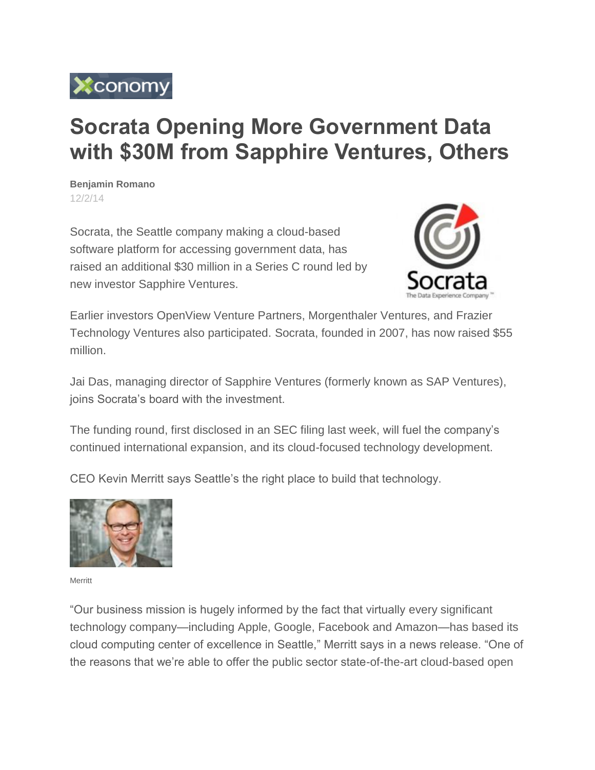

## **Socrata Opening More Government Data with \$30M from Sapphire Ventures, Others**

**Benjamin Romano**  [12/2/14](http://www.xconomy.com/archives/?xyear=2014&month=12&xday=2)

Socrata, the Seattle company making a cloud-based software platform for accessing government data, has raised an additional \$30 million in a Series C round led by new investor Sapphire Ventures.



Earlier investors OpenView Venture Partners, Morgenthaler Ventures, and Frazier Technology Ventures also participated. Socrata, founded in 2007, has now raised \$55 million.

Jai Das, managing director of Sapphire Ventures (formerly known as SAP Ventures), joins Socrata's board with the investment.

The funding round, first disclosed in an SEC filing last week, will fuel the company's continued international expansion, and its cloud-focused technology development.

CEO Kevin Merritt says Seattle's the right place to build that technology.



Merritt

"Our business mission is hugely informed by the fact that virtually every significant technology company—including Apple, Google, Facebook and Amazon—has based its cloud computing center of excellence in Seattle," Merritt says in a news release. "One of the reasons that we're able to offer the public sector state-of-the-art cloud-based open